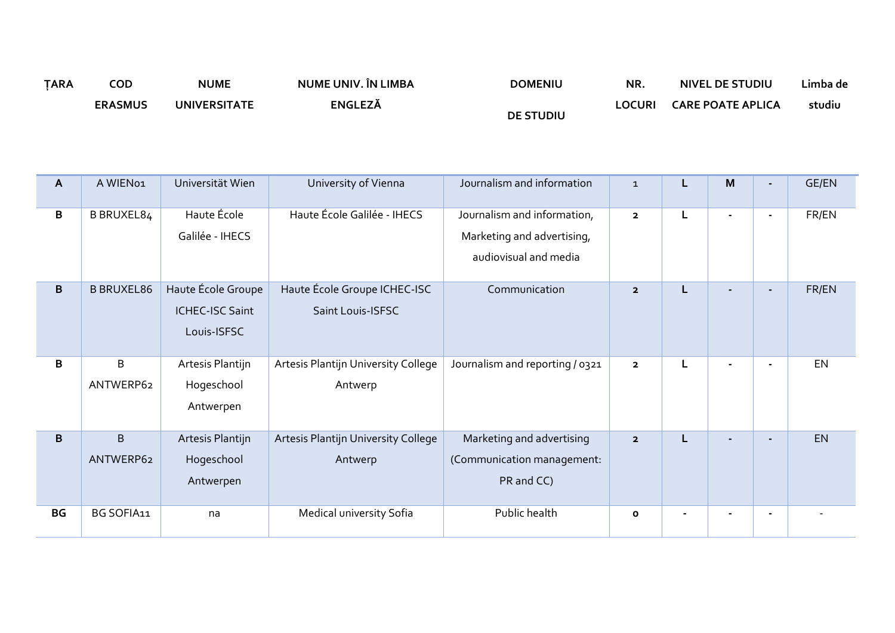| <b>TARA</b> | COD            | <b>NUME</b>         | NUME UNIV. ÎN LIMBA | <b>DOMENIU</b>   | NR.    | NIVEL DE STUDIU          | Limba de |
|-------------|----------------|---------------------|---------------------|------------------|--------|--------------------------|----------|
|             | <b>ERASMUS</b> | <b>UNIVERSITATE</b> | ENGLEZĂ             | <b>DE STUDIU</b> | _OCURI | <b>CARE POATE APLICA</b> | studiu   |

| $\mathsf{A}$ | A WIEN01                    | Universität Wien                                            | University of Vienna                              | Journalism and information                                                         | $\mathbf{1}$            |   | M |                | <b>GE/EN</b> |
|--------------|-----------------------------|-------------------------------------------------------------|---------------------------------------------------|------------------------------------------------------------------------------------|-------------------------|---|---|----------------|--------------|
| B            | B BRUXEL84                  | Haute École<br>Galilée - IHECS                              | Haute École Galilée - IHECS                       | Journalism and information,<br>Marketing and advertising,<br>audiovisual and media | $\overline{\mathbf{2}}$ | L |   |                | FR/EN        |
| B            | <b>B BRUXEL86</b>           | Haute École Groupe<br><b>ICHEC-ISC Saint</b><br>Louis-ISFSC | Haute École Groupe ICHEC-ISC<br>Saint Louis-ISFSC | Communication                                                                      | $\overline{\mathbf{2}}$ |   |   |                | FR/EN        |
| B            | B<br>ANTWERP62              | Artesis Plantijn<br>Hogeschool<br>Antwerpen                 | Artesis Plantijn University College<br>Antwerp    | Journalism and reporting / 0321                                                    | $\overline{\mathbf{2}}$ | L |   |                | EN           |
| B            | $\overline{B}$<br>ANTWERP62 | Artesis Plantijn<br>Hogeschool<br>Antwerpen                 | Artesis Plantijn University College<br>Antwerp    | Marketing and advertising<br>(Communication management:<br>PR and CC)              | $\overline{\mathbf{2}}$ | L |   | $\blacksquare$ | EN           |
| BG           | BG SOFIA11                  | na                                                          | Medical university Sofia                          | Public health                                                                      | $\mathbf{o}$            |   |   |                |              |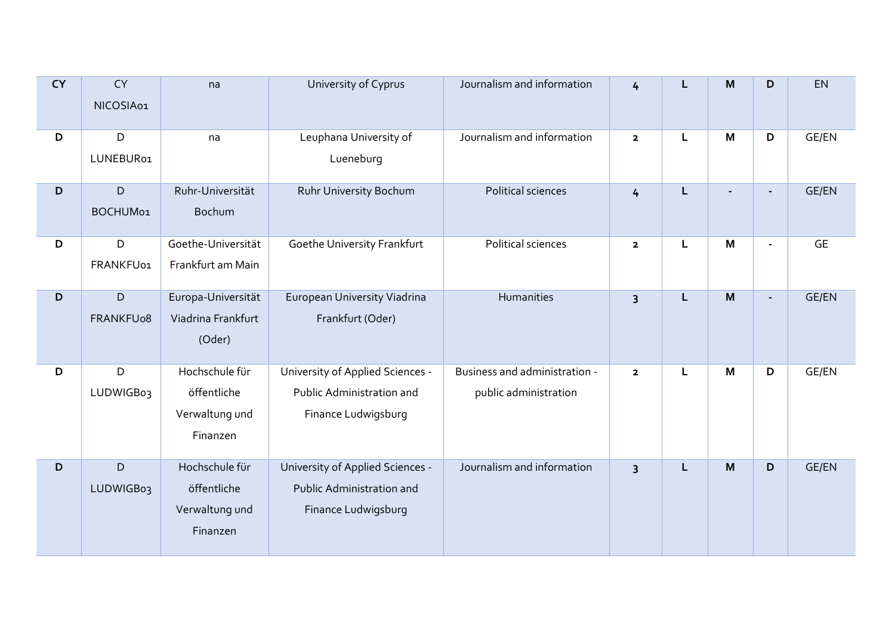| <b>CY</b> | <b>CY</b><br>NICOSIA01 | na                 | University of Cyprus             | Journalism and information    | 4                       |   | M | D              | EN           |
|-----------|------------------------|--------------------|----------------------------------|-------------------------------|-------------------------|---|---|----------------|--------------|
|           |                        |                    |                                  |                               |                         |   |   |                |              |
| D         | D                      | na                 | Leuphana University of           | Journalism and information    | $\mathbf{2}$            | L | M | D              | GE/EN        |
|           | LUNEBUR01              |                    | Lueneburg                        |                               |                         |   |   |                |              |
| D         | $\mathsf D$            | Ruhr-Universität   | Ruhr University Bochum           | Political sciences            | $\overline{4}$          | L |   |                | <b>GE/EN</b> |
|           | BOCHUM01               | <b>Bochum</b>      |                                  |                               |                         |   |   |                |              |
| D         | D                      | Goethe-Universität | Goethe University Frankfurt      | Political sciences            | $\overline{\mathbf{2}}$ | L | M | $\blacksquare$ | <b>GE</b>    |
|           | FRANKFU01              | Frankfurt am Main  |                                  |                               |                         |   |   |                |              |
| D         | $\mathsf{D}$           | Europa-Universität | European University Viadrina     | Humanities                    | $\overline{\mathbf{3}}$ | L | M | $\overline{a}$ | <b>GE/EN</b> |
|           | FRANKFU08              | Viadrina Frankfurt | Frankfurt (Oder)                 |                               |                         |   |   |                |              |
|           |                        | (Oder)             |                                  |                               |                         |   |   |                |              |
| D         | D                      | Hochschule für     | University of Applied Sciences - | Business and administration - | $\overline{\mathbf{2}}$ | L | M | D              | GE/EN        |
|           | LUDWIGB03              | öffentliche        | Public Administration and        | public administration         |                         |   |   |                |              |
|           |                        | Verwaltung und     | Finance Ludwigsburg              |                               |                         |   |   |                |              |
|           |                        | Finanzen           |                                  |                               |                         |   |   |                |              |
| D         | $\mathsf{D}$           | Hochschule für     | University of Applied Sciences - | Journalism and information    | $\overline{\mathbf{3}}$ | L | M | D              | <b>GE/EN</b> |
|           | LUDWIGB03              | öffentliche        | Public Administration and        |                               |                         |   |   |                |              |
|           |                        | Verwaltung und     | Finance Ludwigsburg              |                               |                         |   |   |                |              |
|           |                        | Finanzen           |                                  |                               |                         |   |   |                |              |
|           |                        |                    |                                  |                               |                         |   |   |                |              |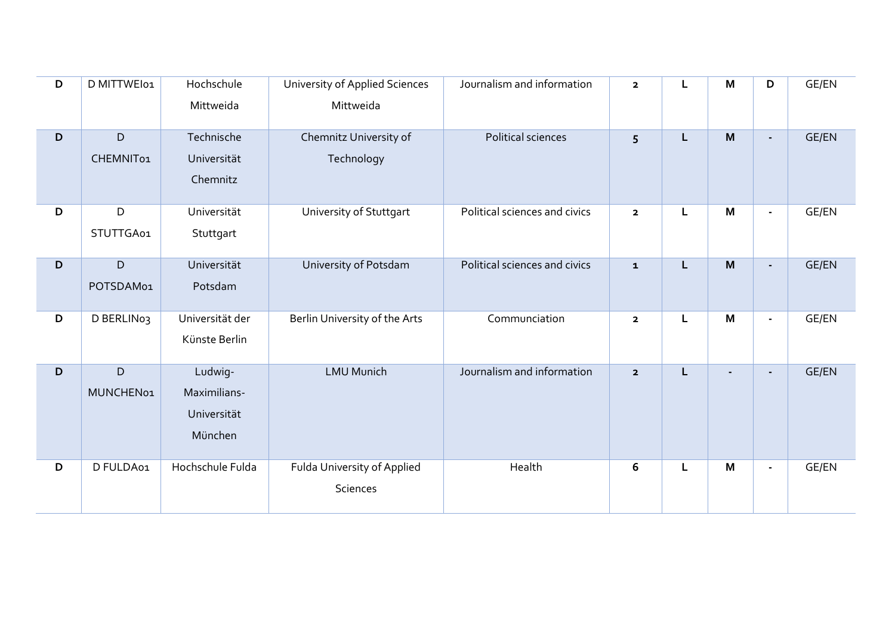| D | D MITTWEI01              | Hochschule<br>Mittweida                           | University of Applied Sciences<br>Mittweida | Journalism and information    | $\mathbf{2}$            | L | M              | D                        | GE/EN        |
|---|--------------------------|---------------------------------------------------|---------------------------------------------|-------------------------------|-------------------------|---|----------------|--------------------------|--------------|
| D | $\mathsf D$<br>CHEMNIT01 | Technische<br>Universität<br>Chemnitz             | Chemnitz University of<br>Technology        | Political sciences            | 5                       | L | M              | $\blacksquare$           | <b>GE/EN</b> |
| D | D<br>STUTTGA01           | Universität<br>Stuttgart                          | University of Stuttgart                     | Political sciences and civics | $\mathbf{2}$            | L | M              | $\overline{\phantom{a}}$ | GE/EN        |
| D | $\mathsf D$<br>POTSDAM01 | Universität<br>Potsdam                            | University of Potsdam                       | Political sciences and civics | ${\bf 1}$               | L | M              | $\blacksquare$           | GE/EN        |
| D | D BERLIN03               | Universität der<br>Künste Berlin                  | Berlin University of the Arts               | Communciation                 | $\mathbf{2}$            | L | M              | $\blacksquare$           | GE/EN        |
| D | $\mathsf D$<br>MUNCHEN01 | Ludwig-<br>Maximilians-<br>Universität<br>München | <b>LMU Munich</b>                           | Journalism and information    | $\overline{\mathbf{2}}$ | L | $\blacksquare$ | $\blacksquare$           | <b>GE/EN</b> |
| D | D FULDA01                | Hochschule Fulda                                  | Fulda University of Applied<br>Sciences     | Health                        | 6                       | L | M              | $\blacksquare$           | GE/EN        |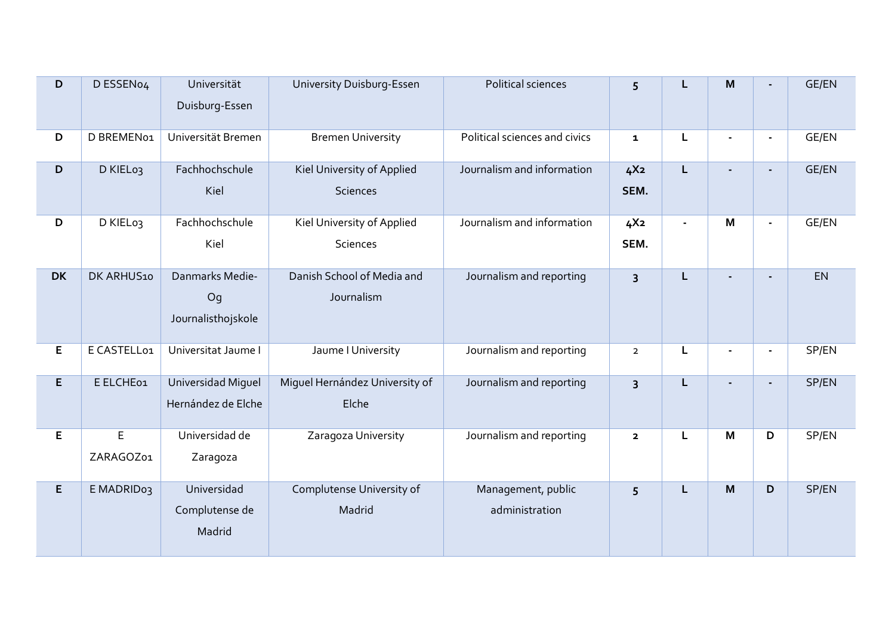| D         | D ESSEN04                | Universität<br>Duisburg-Essen               | University Duisburg-Essen                     | Political sciences                   | 5                       | L              | M              |                          | <b>GE/EN</b> |
|-----------|--------------------------|---------------------------------------------|-----------------------------------------------|--------------------------------------|-------------------------|----------------|----------------|--------------------------|--------------|
| D         | D BREMEN01               | Universität Bremen                          | <b>Bremen University</b>                      | Political sciences and civics        | $\mathbf{1}$            | L              |                | $\overline{\phantom{a}}$ | GE/EN        |
| D         | D KIEL03                 | Fachhochschule<br>Kiel                      | Kiel University of Applied<br><b>Sciences</b> | Journalism and information           | 4X <sub>2</sub><br>SEM. | L              |                | $\blacksquare$           | <b>GE/EN</b> |
| D         | D KIEL03                 | Fachhochschule<br>Kiel                      | Kiel University of Applied<br><b>Sciences</b> | Journalism and information           | 4X <sub>2</sub><br>SEM. | $\blacksquare$ | M              | $\blacksquare$           | GE/EN        |
| <b>DK</b> | DK ARHUS10               | Danmarks Medie-<br>Og<br>Journalisthojskole | Danish School of Media and<br>Journalism      | Journalism and reporting             | $\overline{3}$          | L              |                | $\blacksquare$           | EN           |
| E         | E CASTELL01              | Universitat Jaume I                         | Jaume I University                            | Journalism and reporting             | $\overline{2}$          | L              | $\blacksquare$ |                          | SP/EN        |
| E         | E ELCHE01                | Universidad Miguel<br>Hernández de Elche    | Miguel Hernández University of<br>Elche       | Journalism and reporting             | $\overline{3}$          | L              |                |                          | SP/EN        |
| E         | $\mathsf E$<br>ZARAGOZ01 | Universidad de<br>Zaragoza                  | Zaragoza University                           | Journalism and reporting             | $\mathbf 2$             | L              | M              | D                        | SP/EN        |
| E.        | E MADRID03               | Universidad<br>Complutense de<br>Madrid     | Complutense University of<br>Madrid           | Management, public<br>administration | 5                       | Г              | M              | D                        | SP/EN        |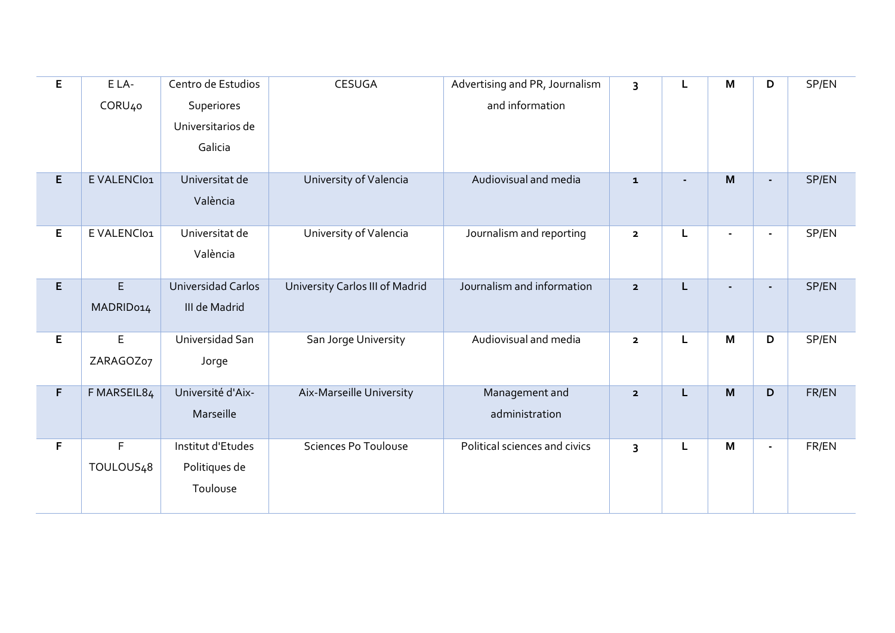| E | ELA-                   | Centro de Estudios        | <b>CESUGA</b>                   | Advertising and PR, Journalism | 3                       |   | M | D                        | SP/EN |
|---|------------------------|---------------------------|---------------------------------|--------------------------------|-------------------------|---|---|--------------------------|-------|
|   | CORU <sub>40</sub>     | Superiores                |                                 | and information                |                         |   |   |                          |       |
|   |                        | Universitarios de         |                                 |                                |                         |   |   |                          |       |
|   |                        | Galicia                   |                                 |                                |                         |   |   |                          |       |
| E | E VALENCI01            | Universitat de            | University of Valencia          | Audiovisual and media          | ${\bf 1}$               |   | M | $\overline{\phantom{0}}$ | SP/EN |
|   |                        | València                  |                                 |                                |                         |   |   |                          |       |
| E | E VALENCI01            | Universitat de            | University of Valencia          | Journalism and reporting       | $\mathbf 2$             |   |   | $\blacksquare$           | SP/EN |
|   |                        | València                  |                                 |                                |                         |   |   |                          |       |
| E | $\mathsf E$            | <b>Universidad Carlos</b> | University Carlos III of Madrid | Journalism and information     | $\overline{\mathbf{2}}$ | L |   | ٠                        | SP/EN |
|   | MADRID014              | III de Madrid             |                                 |                                |                         |   |   |                          |       |
| E | $\mathsf E$            | Universidad San           | San Jorge University            | Audiovisual and media          | $\overline{\mathbf{2}}$ | L | M | D                        | SP/EN |
|   | ZARAGOZ07              | Jorge                     |                                 |                                |                         |   |   |                          |       |
| F | F MARSEIL84            | Université d'Aix-         | Aix-Marseille University        | Management and                 | $\overline{\mathbf{2}}$ | L | M | D                        | FR/EN |
|   |                        | Marseille                 |                                 | administration                 |                         |   |   |                          |       |
| F | $\mathsf F$            | Institut d'Etudes         | <b>Sciences Po Toulouse</b>     | Political sciences and civics  | 3                       | L | M | $\overline{\phantom{a}}$ | FR/EN |
|   | TOULOUS <sub>4</sub> 8 | Politiques de             |                                 |                                |                         |   |   |                          |       |
|   |                        | Toulouse                  |                                 |                                |                         |   |   |                          |       |
|   |                        |                           |                                 |                                |                         |   |   |                          |       |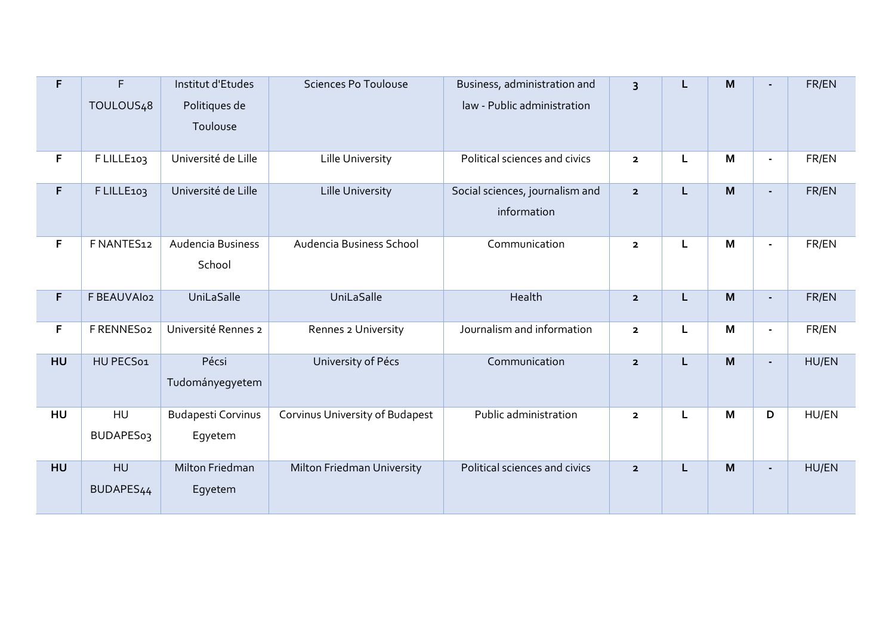| F           | F<br>TOULOUS <sub>4</sub> 8        | Institut d'Etudes<br>Politiques de<br>Toulouse | <b>Sciences Po Toulouse</b>     | Business, administration and<br>law - Public administration | $\overline{3}$          | L | M | $\blacksquare$           | FR/EN |
|-------------|------------------------------------|------------------------------------------------|---------------------------------|-------------------------------------------------------------|-------------------------|---|---|--------------------------|-------|
| F           | F LILLE103                         | Université de Lille                            | Lille University                | Political sciences and civics                               | $\mathbf{2}$            | L | M | $\overline{a}$           | FR/EN |
| $\mathsf F$ | F LILLE103                         | Université de Lille                            | <b>Lille University</b>         | Social sciences, journalism and<br>information              | $\overline{\mathbf{2}}$ | L | M | $\blacksquare$           | FR/EN |
| F           | F NANTES12                         | Audencia Business<br>School                    | Audencia Business School        | Communication                                               | $\overline{2}$          | L | M | $\overline{\phantom{a}}$ | FR/EN |
| F           | F BEAUVAIO2                        | UniLaSalle                                     | UniLaSalle                      | Health                                                      | $\overline{\mathbf{2}}$ | L | M | $\blacksquare$           | FR/EN |
| F           | F RENNES02                         | Université Rennes 2                            | Rennes 2 University             | Journalism and information                                  | $\overline{\mathbf{2}}$ | L | M | $\overline{\phantom{a}}$ | FR/EN |
| HU          | HU PECS01                          | Pécsi<br>Tudományegyetem                       | University of Pécs              | Communication                                               | $\overline{2}$          | L | M | $\blacksquare$           | HU/EN |
| HU          | HU<br><b>BUDAPES03</b>             | <b>Budapesti Corvinus</b><br>Egyetem           | Corvinus University of Budapest | Public administration                                       | $\mathbf{2}$            | L | M | D                        | HU/EN |
| <b>HU</b>   | <b>HU</b><br>BUDAPES <sub>44</sub> | Milton Friedman<br>Egyetem                     | Milton Friedman University      | Political sciences and civics                               | $\overline{\mathbf{2}}$ | L | M | $\blacksquare$           | HU/EN |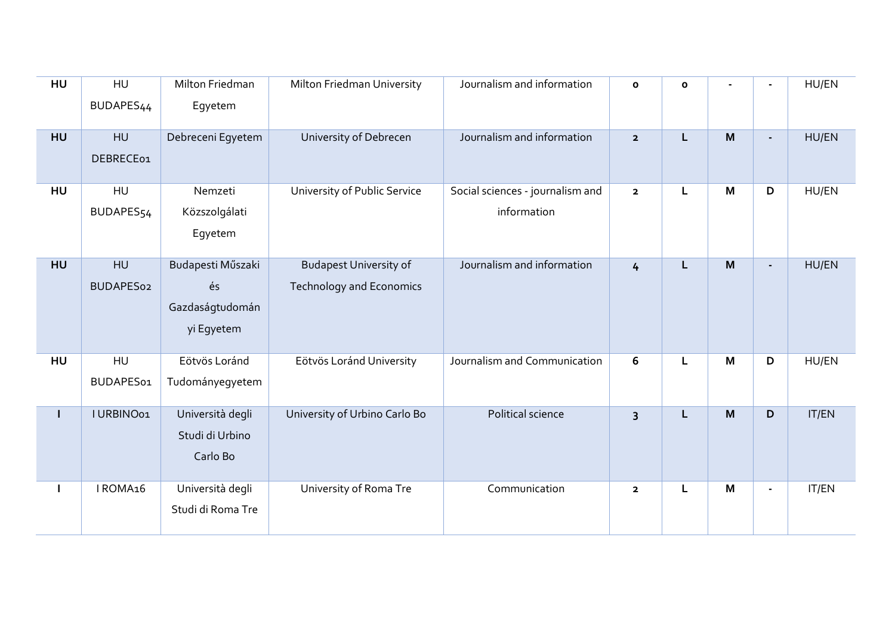| HU        | HU<br>BUDAPES <sub>44</sub> | Milton Friedman<br>Egyetem                               | Milton Friedman University                                       | Journalism and information                      | $\mathbf{o}$            | $\mathbf{o}$ |   |                | HU/EN |
|-----------|-----------------------------|----------------------------------------------------------|------------------------------------------------------------------|-------------------------------------------------|-------------------------|--------------|---|----------------|-------|
| <b>HU</b> | HU<br>DEBRECE01             | Debreceni Egyetem                                        | University of Debrecen                                           | Journalism and information                      | $\overline{2}$          | L            | M |                | HU/EN |
| HU        | HU<br>BUDAPES54             | Nemzeti<br>Közszolgálati<br>Egyetem                      | University of Public Service                                     | Social sciences - journalism and<br>information | $\overline{\mathbf{2}}$ | L            | M | D              | HU/EN |
| <b>HU</b> | HU<br>BUDAPES02             | Budapesti Műszaki<br>és<br>Gazdaságtudomán<br>yi Egyetem | <b>Budapest University of</b><br><b>Technology and Economics</b> | Journalism and information                      | $\frac{1}{2}$           | L            | M |                | HU/EN |
| HU        | HU<br>BUDAPES01             | Eötvös Loránd<br>Tudományegyetem                         | Eötvös Loránd University                                         | Journalism and Communication                    | 6                       | L            | M | D              | HU/EN |
| L         | I URBINO01                  | Università degli<br>Studi di Urbino<br>Carlo Bo          | University of Urbino Carlo Bo                                    | Political science                               | 3                       | L            | M | D              | IT/EN |
|           | IROMA16                     | Università degli<br>Studi di Roma Tre                    | University of Roma Tre                                           | Communication                                   | $\overline{\mathbf{2}}$ | L            | M | $\blacksquare$ | IT/EN |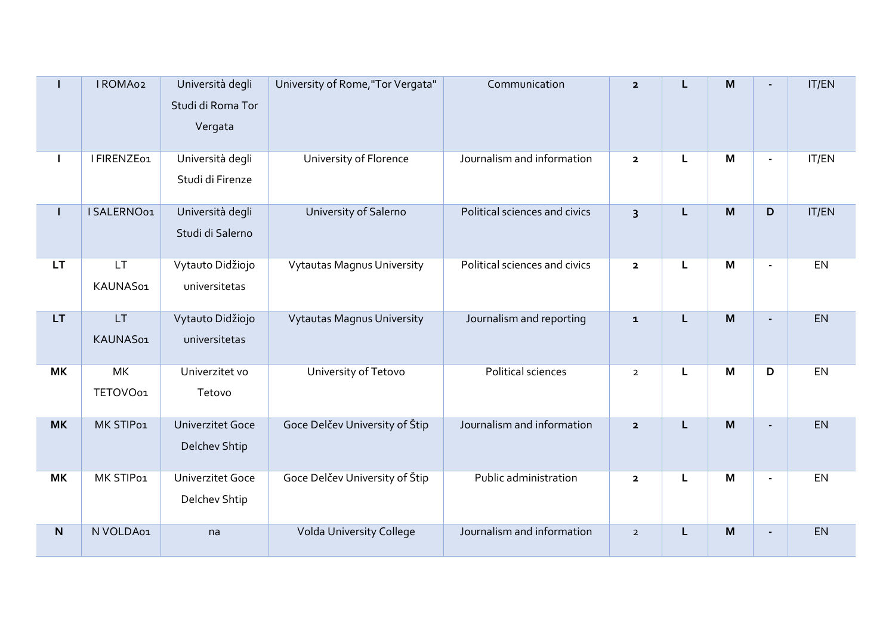| L         | I ROMA02              | Università degli<br>Studi di Roma Tor<br>Vergata | University of Rome, "Tor Vergata" | Communication                 | $\overline{2}$          | L | M |                | IT/EN |
|-----------|-----------------------|--------------------------------------------------|-----------------------------------|-------------------------------|-------------------------|---|---|----------------|-------|
| I         | I FIRENZE01           | Università degli<br>Studi di Firenze             | University of Florence            | Journalism and information    | $\overline{\mathbf{2}}$ | Г | M |                | IT/EN |
| L         | I SALERNO01           | Università degli<br>Studi di Salerno             | University of Salerno             | Political sciences and civics | $\overline{3}$          | L | M | D              | IT/EN |
| <b>LT</b> | LT.<br>KAUNAS01       | Vytauto Didžiojo<br>universitetas                | <b>Vytautas Magnus University</b> | Political sciences and civics | $\overline{\mathbf{2}}$ | L | M | $\blacksquare$ | EN    |
| <b>LT</b> | <b>LT</b><br>KAUNAS01 | Vytauto Didžiojo<br>universitetas                | <b>Vytautas Magnus University</b> | Journalism and reporting      | $\mathbf{1}$            | L | M |                | EN    |
| <b>MK</b> | <b>MK</b><br>TETOVO01 | Univerzitet vo<br>Tetovo                         | University of Tetovo              | Political sciences            | $\overline{2}$          | L | M | D              | EN    |
| <b>MK</b> | MK STIP01             | <b>Univerzitet Goce</b><br>Delchev Shtip         | Goce Delčev University of Štip    | Journalism and information    | $\overline{2}$          | L | M | $\blacksquare$ | EN    |
| <b>MK</b> | MK STIP01             | <b>Univerzitet Goce</b><br>Delchev Shtip         | Goce Delčev University of Štip    | Public administration         | $\overline{\mathbf{2}}$ | L | M |                | EN    |
| N.        | N VOLDA01             | na                                               | Volda University College          | Journalism and information    | $\overline{2}$          | L | M |                | EN    |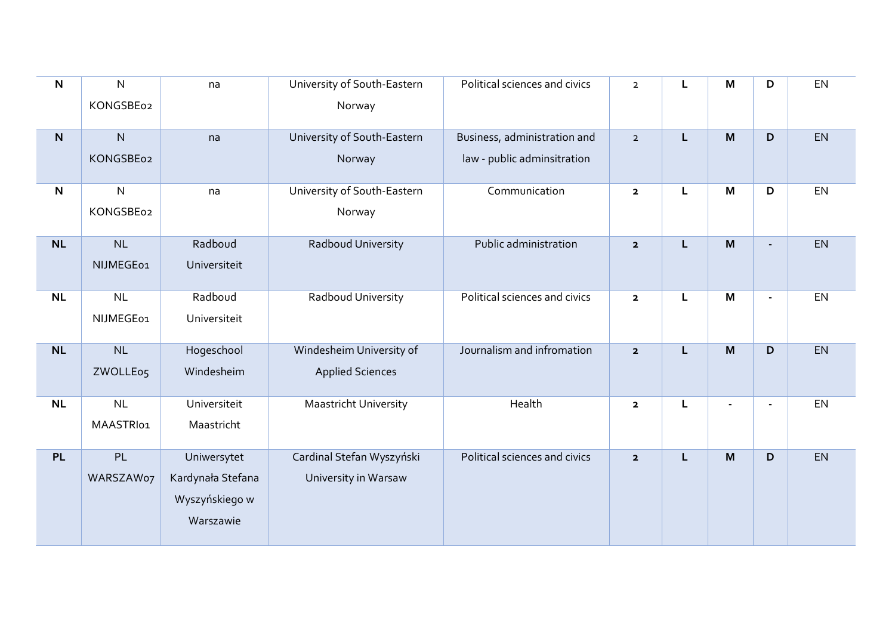| $\mathsf{N}$ | ${\sf N}$    | na                | University of South-Eastern  | Political sciences and civics | $\overline{2}$          | L | M              | D              | EN        |
|--------------|--------------|-------------------|------------------------------|-------------------------------|-------------------------|---|----------------|----------------|-----------|
|              | KONGSBE02    |                   | Norway                       |                               |                         |   |                |                |           |
| $\mathsf{N}$ | $\mathsf{N}$ | na                | University of South-Eastern  | Business, administration and  | $\mathbf{2}$            | L | M              | D              | EN        |
|              | KONGSBE02    |                   | Norway                       | law - public adminsitration   |                         |   |                |                |           |
| $\mathsf{N}$ | ${\sf N}$    | na                | University of South-Eastern  | Communication                 | $\mathbf 2$             | L | M              | D              | EN        |
|              | KONGSBE02    |                   | Norway                       |                               |                         |   |                |                |           |
| <b>NL</b>    | NL           | Radboud           | Radboud University           | Public administration         | $\mathbf{2}$            | L | M              |                | EN        |
|              | NIJMEGE01    | Universiteit      |                              |                               |                         |   |                |                |           |
| <b>NL</b>    | NL           | Radboud           | Radboud University           | Political sciences and civics | $\overline{\mathbf{2}}$ | Г | M              | $\blacksquare$ | <b>EN</b> |
|              | NIJMEGE01    | Universiteit      |                              |                               |                         |   |                |                |           |
| <b>NL</b>    | NL           | Hogeschool        | Windesheim University of     | Journalism and infromation    | $\overline{\mathbf{2}}$ | L | M              | D              | EN        |
|              | ZWOLLE05     | Windesheim        | <b>Applied Sciences</b>      |                               |                         |   |                |                |           |
| NL           | <b>NL</b>    | Universiteit      | <b>Maastricht University</b> | Health                        | $\overline{\mathbf{2}}$ | Г | $\blacksquare$ | $\blacksquare$ | EN        |
|              | MAASTRI01    | Maastricht        |                              |                               |                         |   |                |                |           |
| <b>PL</b>    | PL           | Uniwersytet       | Cardinal Stefan Wyszyński    | Political sciences and civics | $\overline{\mathbf{2}}$ | L | M              | D              | EN        |
|              | WARSZAW07    | Kardynała Stefana | University in Warsaw         |                               |                         |   |                |                |           |
|              |              | Wyszyńskiego w    |                              |                               |                         |   |                |                |           |
|              |              | Warszawie         |                              |                               |                         |   |                |                |           |
|              |              |                   |                              |                               |                         |   |                |                |           |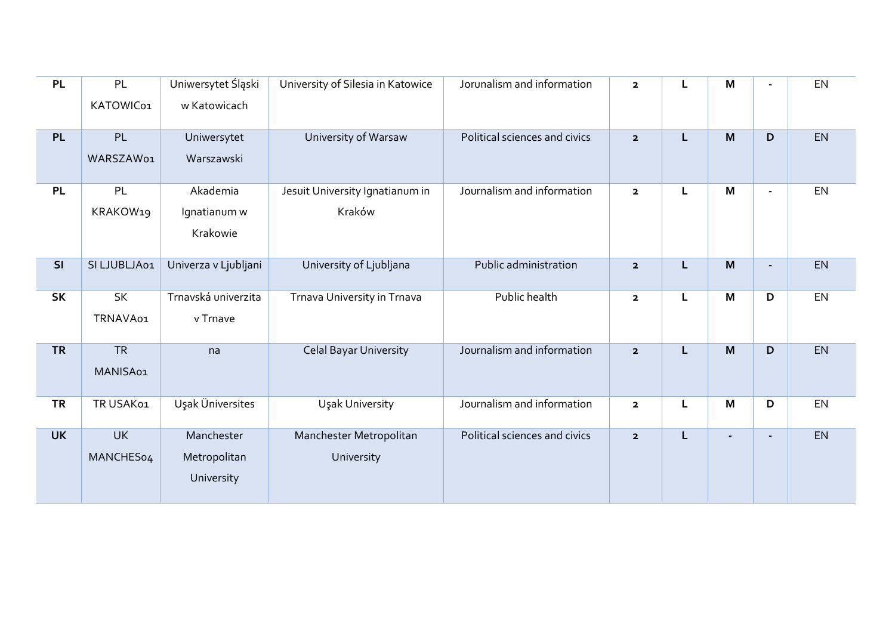| <b>PL</b> | PL           | Uniwersytet Śląski   | University of Silesia in Katowice | Jorunalism and information    | $\overline{\mathbf{2}}$ | L | M              | $\blacksquare$ | EN |
|-----------|--------------|----------------------|-----------------------------------|-------------------------------|-------------------------|---|----------------|----------------|----|
|           | KATOWIC01    | w Katowicach         |                                   |                               |                         |   |                |                |    |
| PL        | PL           | Uniwersytet          | University of Warsaw              | Political sciences and civics | $\overline{\mathbf{2}}$ | L | M              | D              | EN |
|           | WARSZAW01    | Warszawski           |                                   |                               |                         |   |                |                |    |
| <b>PL</b> | PL           | Akademia             | Jesuit University Ignatianum in   | Journalism and information    | $\overline{\mathbf{2}}$ | L | M              | $\blacksquare$ | EN |
|           | KRAKOW19     | Ignatianum w         | Kraków                            |                               |                         |   |                |                |    |
|           |              | Krakowie             |                                   |                               |                         |   |                |                |    |
| SI        | SI LJUBLJA01 | Univerza v Ljubljani | University of Ljubljana           | Public administration         | $\overline{\mathbf{2}}$ | L | M              | ÷.             | EN |
| <b>SK</b> | <b>SK</b>    | Trnavská univerzita  | Trnava University in Trnava       | Public health                 | $\mathbf{2}$            | L | M              | D              | EN |
|           | TRNAVA01     | v Trnave             |                                   |                               |                         |   |                |                |    |
| <b>TR</b> | <b>TR</b>    | na                   | <b>Celal Bayar University</b>     | Journalism and information    | $\overline{\mathbf{2}}$ | L | M              | D              | EN |
|           | MANISA01     |                      |                                   |                               |                         |   |                |                |    |
| <b>TR</b> | TR USAK01    | Uşak Üniversites     | Uşak University                   | Journalism and information    | $\overline{\mathbf{2}}$ | L | M              | D              | EN |
| <b>UK</b> | <b>UK</b>    | Manchester           | Manchester Metropolitan           | Political sciences and civics | $\overline{\mathbf{2}}$ | Г | $\blacksquare$ | $\blacksquare$ | EN |
|           | MANCHES04    | Metropolitan         | University                        |                               |                         |   |                |                |    |
|           |              | University           |                                   |                               |                         |   |                |                |    |
|           |              |                      |                                   |                               |                         |   |                |                |    |